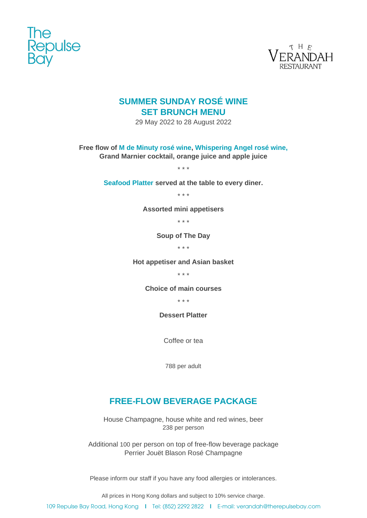



# **SUMMER SUNDAY ROSÉ WINE SET BRUNCH MENU**

29 May 2022 to 28 August 2022

**Free flow of M de Minuty rosé wine, Whispering Angel rosé wine,**

**Grand Marnier cocktail, orange juice and apple juice**

\* \* \*

**Seafood Platter served at the table to every diner.**

\* \* \*

**Assorted mini appetisers**

\* \* \*

**Soup of The Day**

\* \* \*

**Hot appetiser and Asian basket**

\* \* \*

**Choice of main courses**

\* \* \*

**Dessert Platter**

Coffee or tea

788 per adult

## **FREE-FLOW BEVERAGE PACKAGE**

House Champagne, house white and red wines, beer 238 per person

Additional 100 per person on top of free-flow beverage package Perrier Jouët Blason Rosé Champagne

Please inform our staff if you have any food allergies or intolerances.

All prices in Hong Kong dollars and subject to 10% service charge.